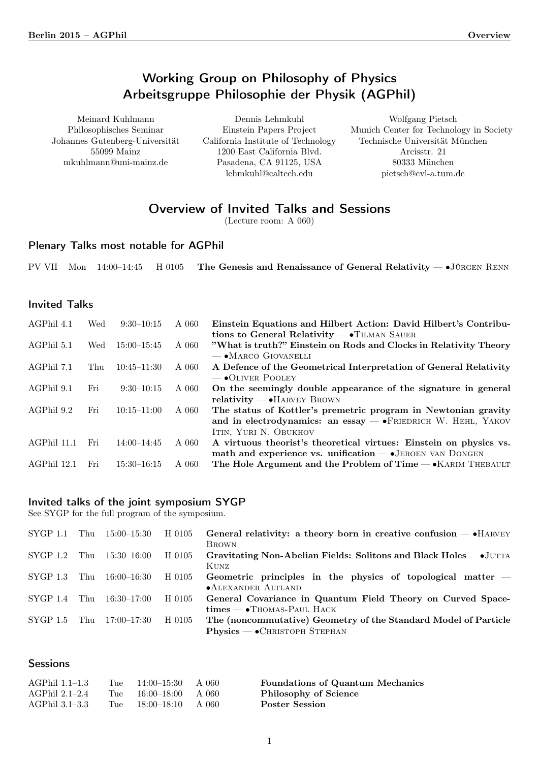# Working Group on Philosophy of Physics Arbeitsgruppe Philosophie der Physik (AGPhil)

<span id="page-0-0"></span>Meinard Kuhlmann Philosophisches Seminar Johannes Gutenberg-Universität 55099 Mainz mkuhlmann@uni-mainz.de

Dennis Lehmkuhl Einstein Papers Project California Institute of Technology 1200 East California Blvd. Pasadena, CA 91125, USA lehmkuhl@caltech.edu

Wolfgang Pietsch Munich Center for Technology in Society Technische Universität München Arcisstr. 21 80333 München pietsch@cvl-a.tum.de

# Overview of Invited Talks and Sessions

(Lecture room: A 060)

## Plenary Talks most notable for AGPhil

PV VII Mon 14:00–14:45 H 0105 The Genesis and Renaissance of General Relativity — •JÜRGEN RENN

## Invited Talks

| AGPhil 4.1  | Wed | $9:30-10:15$    | A 060 | Einstein Equations and Hilbert Action: David Hilbert's Contribu-                                                                                                             |
|-------------|-----|-----------------|-------|------------------------------------------------------------------------------------------------------------------------------------------------------------------------------|
| AGPhil 5.1  | Wed | $15:00 - 15:45$ | A 060 | tions to General Relativity $-\bullet$ TILMAN SAUER<br>"What is truth?" Einstein on Rods and Clocks in Relativity Theory                                                     |
| AGPhil 7.1  | Thu | $10:45 - 11:30$ | A 060 | $-$ • Marco Giovanelli<br>A Defence of the Geometrical Interpretation of General Relativity<br>$\sim$ OLIVER POOLEY                                                          |
| AGPhil 9.1  | Fri | $9:30-10:15$    | A 060 | On the seemingly double appearance of the signature in general                                                                                                               |
| AGPhil 9.2  | Fri | $10:15 - 11:00$ | A 060 | $relativity$ $\rightarrow$ HARVEY BROWN<br>The status of Kottler's premetric program in Newtonian gravity<br>and in electrodynamics: an essay $-$ • FRIEDRICH W. HEHL, YAKOV |
|             |     |                 |       | ITIN, YURI N. OBUKHOV                                                                                                                                                        |
| AGPhil 11.1 | Fri | $14:00 - 14:45$ | A 060 | A virtuous theorist's theoretical virtues: Einstein on physics vs.<br>math and experience vs. unification $ \bullet$ JEROEN VAN DONGEN                                       |
| AGPhil 12.1 | Fri | $15:30 - 16:15$ | A 060 | The Hole Argument and the Problem of Time $-\bullet$ KARIM THEBAULT                                                                                                          |

## Invited talks of the joint symposium SYGP

See SYGP for the full program of the symposium.

| SYGP 1.1       | Thu | 15:00–15:30 | H 0105 | General relativity: a theory born in creative confusion $-$ • HARVEY         |
|----------------|-----|-------------|--------|------------------------------------------------------------------------------|
|                |     |             |        | <b>BROWN</b>                                                                 |
| $SYGP 1.2$ Thu |     | 15:30–16:00 | H 0105 | Gravitating Non-Abelian Fields: Solitons and Black Holes — JUTTA             |
| SYGP 1.3       | Thu | 16:00–16:30 | H 0105 | <b>KUNZ</b><br>Geometric principles in the physics of topological matter $-$ |
|                |     |             |        | •ALEXANDER ALTLAND                                                           |
| SYGP 1.4       | Thu | 16:30–17:00 | H 0105 | General Covariance in Quantum Field Theory on Curved Space-                  |
|                |     |             |        | $times - \cdot$ Thomas-Paul Hack                                             |
| SYGP 1.5       | Thu | 17:00–17:30 | H 0105 | The (noncommutative) Geometry of the Standard Model of Particle              |
|                |     |             |        | $Physics - \bullet$ CHRISTOPH STEPHAN                                        |

## **Sessions**

| AGPhil 1.1–1.3 | Tue $14:00-15:30$ A 060 | <b>Foundations of Quantum Mechanics</b> |
|----------------|-------------------------|-----------------------------------------|
| AGPhil 2.1–2.4 | Tue $16:00-18:00$ A 060 | Philosophy of Science                   |
| AGPhil 3.1–3.3 | Tue $18:00-18:10$ A 060 | <b>Poster Session</b>                   |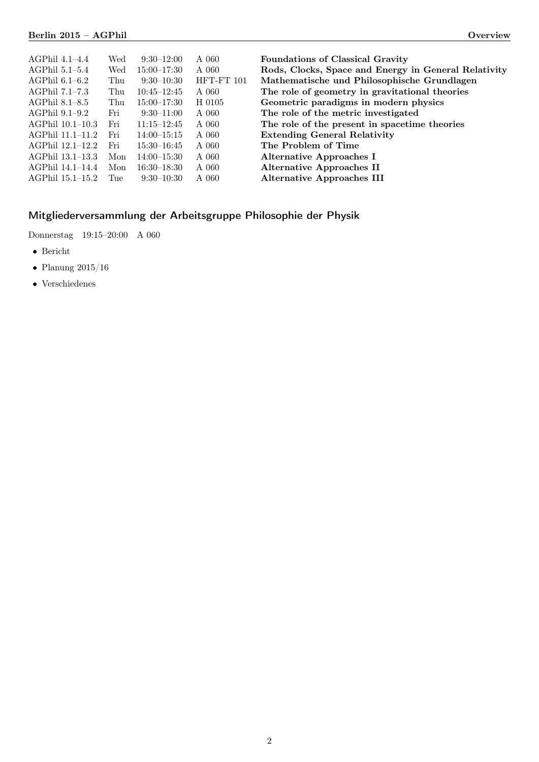| AGPhil 4.1–4.4   | Wed | $9:30-12:00$    | A 060      | <b>Foundations of Classical Gravity</b>              |
|------------------|-----|-----------------|------------|------------------------------------------------------|
| AGPhil 5.1–5.4   | Wed | $15:00 - 17:30$ | A 060      | Rods, Clocks, Space and Energy in General Relativity |
| AGPhil $6.1-6.2$ | Thu | $9:30-10:30$    | HFT-FT 101 | Mathematische und Philosophische Grundlagen          |
| AGPhil 7.1-7.3   | Thu | $10:45 - 12:45$ | A 060      | The role of geometry in gravitational theories       |
| AGPhil 8.1–8.5   | Thu | $15:00 - 17:30$ | H 0105     | Geometric paradigms in modern physics                |
| AGPhil 9.1–9.2   | Fri | $9:30-11:00$    | A 060      | The role of the metric investigated                  |
| AGPhil 10.1-10.3 | Fri | $11:15 - 12:45$ | A 060      | The role of the present in spacetime theories        |
| AGPhil 11.1-11.2 | Fri | $14:00 - 15:15$ | A 060      | <b>Extending General Relativity</b>                  |
| AGPhil 12.1-12.2 | Fri | $15:30 - 16:45$ | A 060      | The Problem of Time                                  |
| AGPhil 13.1–13.3 | Mon | $14:00 - 15:30$ | A 060      | <b>Alternative Approaches I</b>                      |
| AGPhil 14.1–14.4 | Mon | $16:30 - 18:30$ | A 060      | <b>Alternative Approaches II</b>                     |
| AGPhil 15.1–15.2 | Tue | $9:30-10:30$    | A 060      | <b>Alternative Approaches III</b>                    |
|                  |     |                 |            |                                                      |

# Mitgliederversammlung der Arbeitsgruppe Philosophie der Physik

Donnerstag 19:15–20:00 A 060

- ∙ Bericht
- ∙ Planung 2015/16
- ∙ Verschiedenes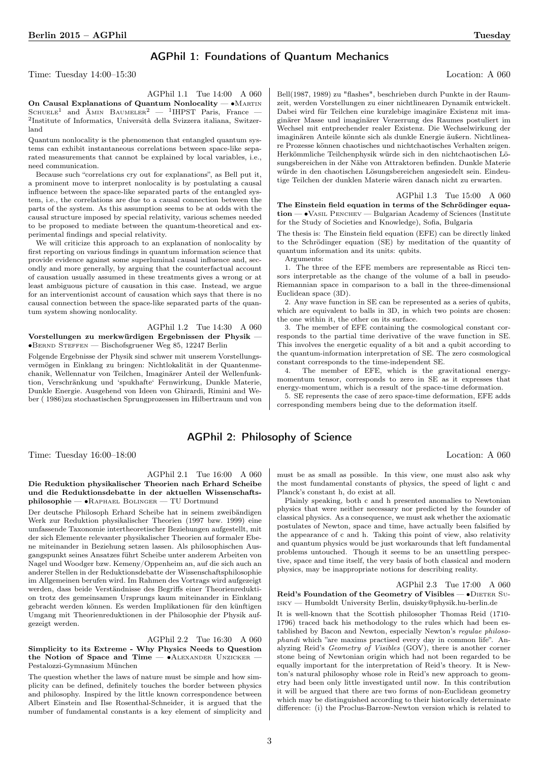## AGPhil 1: Foundations of Quantum Mechanics

Time: Tuesday 14:00–15:30 Location: A 060

<span id="page-2-2"></span>

AGPhil 1.1 Tue 14:00 A 060 On Causal Explanations of Quantum Nonlocality — ∙Martin SCHUELE<sup>1</sup> and  $\text{\AA}$ MIN BAUMELER<sup>2</sup> — <sup>1</sup>IHPST Paris, France — 2 Institute of Informatics, Università della Svizzera italiana, Switzerland

Quantum nonlocality is the phenomenon that entangled quantum systems can exhibit instantaneous correlations between space-like separated measurements that cannot be explained by local variables, i.e., need communication.

Because such "correlations cry out for explanations", as Bell put it, a prominent move to interpret nonlocality is by postulating a causal influence between the space-like separated parts of the entangled system, i.e., the correlations are due to a causal connection between the parts of the system. As this assumption seems to be at odds with the causal structure imposed by special relativity, various schemes needed to be proposed to mediate between the quantum-theoretical and experimental findings and special relativity.

We will criticize this approach to an explanation of nonlocality by first reporting on various findings in quantum information science that provide evidence against some superluminal causal influence and, secondly and more generally, by arguing that the counterfactual account of causation usually assumed in these treatments gives a wrong or at least ambiguous picture of causation in this case. Instead, we argue for an interventionist account of causation which says that there is no causal connection between the space-like separated parts of the quantum system showing nonlocality.

#### AGPhil 1.2 Tue 14:30 A 060 Vorstellungen zu merkwürdigen Ergebnissen der Physik — ∙Bernd Steffen — Bischofsgruener Weg 85, 12247 Berlin

Folgende Ergebnisse der Physik sind schwer mit unserem Vorstellungsvermögen in Einklang zu bringen: Nichtlokalität in der Quantenmechanik, Wellennatur von Teilchen, Imaginärer Anteil der Wellenfunktion, Verschränkung und 'spukhafte' Fernwirkung, Dunkle Materie, Dunkle Energie. Ausgehend von Ideen von Ghirardi, Rimini and Weber ( 1986)zu stochastischen Sprungprozessen im Hilbertraum und von

<span id="page-2-0"></span>Bell(1987, 1989) zu "flashes", beschrieben durch Punkte in der Raumzeit, werden Vorstellungen zu einer nichtlinearen Dynamik entwickelt. Dabei wird für Teilchen eine kurzlebige imaginäre Existenz mit imaginärer Masse und imaginärer Verzerrung des Raumes postuliert im Wechsel mit entprechender realer Existenz. Die Wechselwirkung der imaginären Anteile könnte sich als dunkle Energie äußern. Nichtlineare Prozesse können chaotisches und nichtchaotisches Verhalten zeigen. Herkömmliche Teilchenphysik würde sich in den nichtchaotischen Lösungsbereichen in der Nähe von Attraktoren befinden. Dunkle Materie würde in den chaotischen Lösungsbereichen angesiedelt sein. Eindeutige Teilchen der dunklen Materie wären danach nicht zu erwarten.

AGPhil 1.3 Tue 15:00 A 060 The Einstein field equation in terms of the Schrödinger equation — ∙Vasil Penchev — Bulgarian Academy of Sciences (Institute for the Study of Societies and Knowledge), Sofia, Bulgaria

The thesis is: The Einstein field equation (EFE) can be directly linked to the Schrödinger equation (SE) by meditation of the quantity of quantum information and its units: qubits.

Arguments:

1. The three of the EFE members are representable as Ricci tensors interpretable as the change of the volume of a ball in pseudo-Riemannian space in comparison to a ball in the three-dimensional Euclidean space (3D).

2. Any wave function in SE can be represented as a series of qubits, which are equivalent to balls in 3D, in which two points are chosen: the one within it, the other on its surface.

<span id="page-2-1"></span>3. The member of EFE containing the cosmological constant corresponds to the partial time derivative of the wave function in SE. This involves the energetic equality of a bit and a qubit according to the quantum-information interpretation of SE. The zero cosmological constant corresponds to the time-independent SE.

4. The member of EFE, which is the gravitational energymomentum tensor, corresponds to zero in SE as it expresses that energy-momentum, which is a result of the space-time deformation.

5. SE represents the case of zero space-time deformation, EFE adds corresponding members being due to the deformation itself.

## AGPhil 2: Philosophy of Science

Time: Tuesday 16:00–18:00 Location: A 060

AGPhil 2.1 Tue 16:00 A 060 Die Reduktion physikalischer Theorien nach Erhard Scheibe und die Reduktionsdebatte in der aktuellen Wissenschaftsphilosophie — ∙Raphael Bolinger — TU Dortmund

Der deutsche Philosoph Erhard Scheibe hat in seinem zweibändigen Werk zur Reduktion physikalischer Theorien (1997 bzw. 1999) eine umfassende Taxonomie intertheoretischer Beziehungen aufgestellt, mit der sich Elemente relevanter physikalischer Theorien auf formaler Ebene miteinander in Beziehung setzen lassen. Als philosophischen Ausgangspunkt seines Ansatzes führt Scheibe unter anderem Arbeiten von Nagel und Woodger bzw. Kemeny/Oppenheim an, auf die sich auch an anderer Stellen in der Reduktionsdebatte der Wissenschaftsphilosophie im Allgemeinen berufen wird. Im Rahmen des Vortrags wird aufgezeigt werden, dass beide Verständnisse des Begriffs einer Theorienreduktion trotz des gemeinsamen Ursprungs kaum miteinander in Einklang gebracht werden können. Es werden Implikationen für den künftigen Umgang mit Theorienreduktionen in der Philosophie der Physik aufgezeigt werden.

AGPhil 2.2 Tue 16:30 A 060 Simplicity to its Extreme - Why Physics Needs to Question the Notion of Space and Time — • ALEXANDER UNZICKER Pestalozzi-Gymnasium München

The question whether the laws of nature must be simple and how simplicity can be defined, definitely touches the border between physics and philosophy. Inspired by the little known correspondence between Albert Einstein and Ilse Rosenthal-Schneider, it is argued that the number of fundamental constants is a key element of simplicity and must be as small as possible. In this view, one must also ask why the most fundamental constants of physics, the speed of light c and Planck's constant h, do exist at all.

Plainly speaking, both c and h presented anomalies to Newtonian physics that were neither necessary nor predicted by the founder of classical physics. As a consequence, we must ask whether the axiomatic postulates of Newton, space and time, have actually been falsified by the appearance of c and h. Taking this point of view, also relativity and quantum physics would be just workarounds that left fundamental problems untouched. Though it seems to be an unsettling perspective, space and time itself, the very basis of both classical and modern physics, may be inappropriate notions for describing reality.

AGPhil 2.3 Tue 17:00 A 060 Reid's Foundation of the Geometry of Visibles — • DIETER SUisky — Humboldt University Berlin, dsuisky@physik.hu-berlin.de

It is well-known that the Scottish philosopher Thomas Reid (1710- 1796) traced back his methodology to the rules which had been established by Bacon and Newton, especially Newton's regulae philosophandi which "are maxims practised every day in common life". Analyzing Reid's Geometry of Visibles (GOV), there is another corner stone being of Newtonian origin which had not been regarded to be equally important for the interpretation of Reid's theory. It is Newton's natural philosophy whose role in Reid's new approach to geometry had been only little investigated until now. In this contribution it will be argued that there are two forms of non-Euclidean geometry which may be distinguished according to their historically determinate difference: (i) the Proclus-Barrow-Newton version which is related to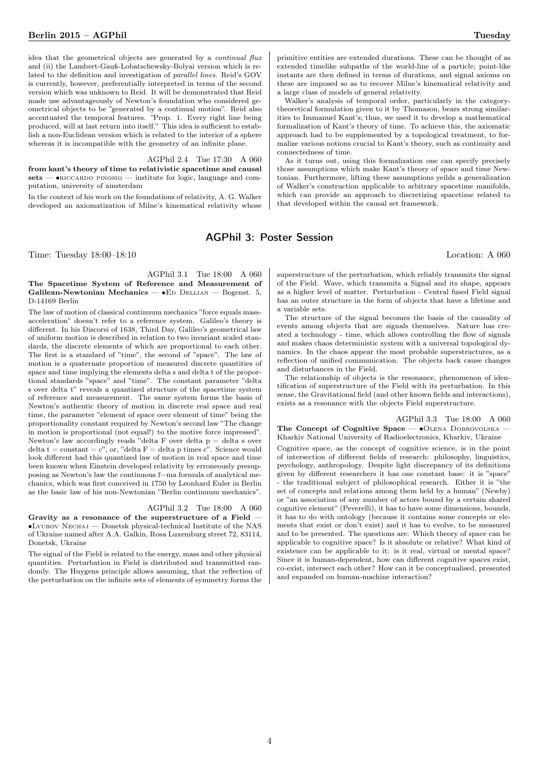idea that the geometrical objects are generated by a continual flux and (ii) the Lambert-Gauß-Lobatschewsky-Bolyai version which is related to the definition and investigation of parallel lines. Reid's GOV is currently, however, preferentially interpreted in terms of the second version which was unknown to Reid. It will be demonstrated that Reid made use advantageously of Newton's foundation who considered geometrical objects to be "generated by a continual motion". Reid also accentuated the temporal features. "Prop. 1. Every right line being produced, will at last return into itself." This idea is sufficient to establish a non-Euclidean version which is related to the interior of a sphere whereas it is incompatible with the geometry of an infinite plane.

AGPhil 2.4 Tue 17:30 A 060

from kant's theory of time to relativistic spacetime and causal sets — •RICCARDO PINOSIO — institute for logic, language and computation, university of amsterdam

In the context of his work on the foundations of relativity, A. G. Walker developed an axiomatization of Milne's kinematical relativity whose

## AGPhil 3: Poster Session

Time: Tuesday 18:00–18:10 Location: A 060

#### AGPhil 3.1 Tue 18:00 A 060 The Spacetime System of Reference and Measurement of Galilean-Newtonian Mechanics —  $•$ ED DELLIAN — Bogenst. 5, D-14169 Berlin

The law of motion of classical continuum mechanics "force equals massacceleration" doesn't refer to a reference system. Galileo's theory is different. In his Discorsi of 1638, Third Day, Galileo's geometrical law of uniform motion is described in relation to two invariant scaled standards, the discrete elements of which are proportional to each other. The first is a standard of "time", the second of "space". The law of motion is a quaternate proportion of measured discrete quantities of space and time implying the elements delta s and delta t of the proportional standards "space" and "time". The constant parameter "delta s over delta t" reveals a quantized structure of the spacetime system of reference and measurement. The same system forms the basis of Newton's authentic theory of motion in discrete real space and real time, the parameter "element of space over element of time" being the proportionality constant required by Newton's second law "The change in motion is proportional (not equal!) to the motive force impressed". Newton's law accordingly reads "delta F over delta p = delta s over delta t = constant =  $c$ ", or, "delta F = delta p times  $c$ ". Science would look different had this quantized law of motion in real space and time been known when Einstein developed relativity by erroneously presupposing as Newton's law the continuous f=ma formula of analytical mechanics, which was first conceived in 1750 by Leonhard Euler in Berlin as the basic law of his non-Newtonian "Berlin continuum mechanics".

## AGPhil 3.2 Tue 18:00 A 060

Gravity as a resonance of the superstructure of a Field ∙Lyubov Nechaj — Donetsk physical-technical Institute of the NAS of Ukraine named after A.A. Galkin, Rosa Luxemburg street 72, 83114, Donetsk, Ukraine

The signal of the Field is related to the energy, mass and other physical quantities. Perturbation in Field is distributed and transmitted randomly. The Huygens principle allows assuming, that the reflection of the perturbation on the infinite sets of elements of symmetry forms the

primitive entities are extended durations. These can be thought of as extended timelike subpaths of the world-line of a particle; point-like instants are then defined in terms of durations, and signal axioms on these are imposed so as to recover Milne's kinematical relativity and a large class of models of general relativity.

Walker's analysis of temporal order, particularly in the categorytheoretical formulation given to it by Thomason, bears strong similarities to Immanuel Kant's; thus, we used it to develop a mathematical formalization of Kant's theory of time. To achieve this, the axiomatic approach had to be supplemented by a topological treatment, to formalize various notions crucial to Kant's theory, such as continuity and connectedness of time.

<span id="page-3-0"></span>As it turns out, using this formalization one can specify precisely those assumptions which make Kant's theory of space and time Newtonian. Furthermore, lifting these assumptions yeilds a generalization of Walker's construction applicable to arbitrary spacetime manifolds, which can provide an approach to discretizing spacetime related to that developed within the causal set framework.

superstructure of the perturbation, which reliably transmits the signal of the Field. Wave, which transmits a Signal and its shape, appears as a higher level of matter. Perturbation - Central fused Field signal has an outer structure in the form of objects that have a lifetime and a variable sets.

The structure of the signal becomes the basis of the causality of events among objects that are signals themselves. Nature has created a technology - time, which allows controlling the flow of signals and makes chaos deterministic system with a universal topological dynamics. In the chaos appear the most probable superstructures, as a reflection of unified communication. The objects back cause changes and disturbances in the Field.

The relationship of objects is the resonance, phenomenon of identification of superstructure of the Field with its perturbation. In this sense, the Gravitational field (and other known fields and interactions), exists as a resonance with the objects Field superstructure.

### AGPhil 3.3 Tue 18:00 A 060

The Concept of Cognitive Space — • OLENA DOBROVOLSKA -Kharkiv National University of Radioelectronics, Kharkiv, Ukraine

Cognitive space, as the concept of cognitive science, is in the point of intersection of different fields of research: philosophy, linguistics, psychology, anthropology. Despite light discrepancy of its definitions given by different researchers it has one constant base: it is "space" - the traditional subject of philosophical research. Either it is "the set of concepts and relations among them held by a human" (Newby) or "an association of any number of actors bound by a certain shared cognitive element" (Peverelli), it has to have some dimensions, bounds, it has to do with ontology (because it contains some concepts or elements that exist or don't exist) and it has to evolve, to be measured and to be presented. The questions are: Which theory of space can be applicable to cognitive space? Is it absolute or relative? What kind of existence can be applicable to it: is it real, virtual or mental space? Since it is human-dependent, how can different cognitive spaces exist, co-exist, intersect each other? How can it be conceptualised, presented and expanded on human-machine interaction?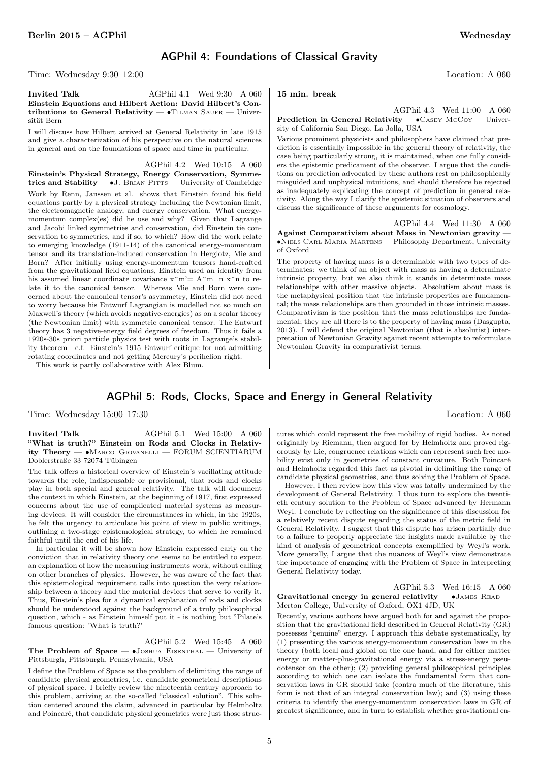## AGPhil 4: Foundations of Classical Gravity

Time: Wednesday 9:30–12:00 Location: A 060

Invited Talk AGPhil 4.1 Wed 9:30 A 060 Einstein Equations and Hilbert Action: David Hilbert's Contributions to General Relativity —  $\bullet$ TILMAN SAUER — Universität Bern

I will discuss how Hilbert arrived at General Relativity in late 1915 and give a characterization of his perspective on the natural sciences in general and on the foundations of space and time in particular.

AGPhil 4.2 Wed 10:15 A 060 Einstein's Physical Strategy, Energy Conservation, Symmetries and Stability — •J. BRIAN PITTS — University of Cambridge Work by Renn, Janssen et al. shows that Einstein found his field equations partly by a physical strategy including the Newtonian limit, the electromagnetic analogy, and energy conservation. What energymomentum complex(es) did he use and why? Given that Lagrange and Jacobi linked symmetries and conservation, did Einstein tie conservation to symmetries, and if so, to which? How did the work relate to emerging knowledge (1911-14) of the canonical energy-momentum tensor and its translation-induced conservation in Herglotz, Mie and Born? After initially using energy-momentum tensors hand-crafted from the gravitational field equations, Einstein used an identity from his assumed linear coordinate covariance  $x^m = A^m$  n  $x^m$  to relate it to the canonical tensor. Whereas Mie and Born were concerned about the canonical tensor's asymmetry, Einstein did not need to worry because his Entwurf Lagrangian is modelled not so much on Maxwell's theory (which avoids negative-energies) as on a scalar theory (the Newtonian limit) with symmetric canonical tensor. The Entwurf theory has 3 negative-energy field degrees of freedom. Thus it fails a 1920s-30s priori particle physics test with roots in Lagrange's stability theorem—c.f. Einstein's 1915 Entwurf critique for not admitting rotating coordinates and not getting Mercury's perihelion right.

This work is partly collaborative with Alex Blum.

15 min. break

AGPhil 4.3 Wed 11:00 A 060 Prediction in General Relativity — •CASEY McCoy — University of California San Diego, La Jolla, USA

Various prominent physicists and philosophers have claimed that prediction is essentially impossible in the general theory of relativity, the case being particularly strong, it is maintained, when one fully considers the epistemic predicament of the observer. I argue that the conditions on prediction advocated by these authors rest on philosophically misguided and unphysical intuitions, and should therefore be rejected as inadequately explicating the concept of prediction in general relativity. Along the way I clarify the epistemic situation of observers and discuss the significance of these arguments for cosmology.

AGPhil 4.4 Wed 11:30 A 060 Against Comparativism about Mass in Newtonian gravity — ∙Niels Carl Maria Martens — Philosophy Department, University of Oxford

The property of having mass is a determinable with two types of determinates: we think of an object with mass as having a determinate intrinsic property, but we also think it stands in determinate mass relationships with other massive objects. Absolutism about mass is the metaphysical position that the intrinsic properties are fundamental; the mass relationships are then grounded in those intrinsic masses. Comparativism is the position that the mass relationships are fundamental; they are all there is to the property of having mass (Dasgupta, 2013). I will defend the original Newtonian (that is absolutist) interpretation of Newtonian Gravity against recent attempts to reformulate Newtonian Gravity in comparativist terms.

## AGPhil 5: Rods, Clocks, Space and Energy in General Relativity

Time: Wednesday 15:00–17:30 Location: A 060

Invited Talk  $\qquad \qquad \text{AGPhil 5.1} \quad \text{Wed } 15:00 \quad A \quad 060$ "What is truth?" Einstein on Rods and Clocks in Relativity Theory — ∙Marco Giovanelli — FORUM SCIENTIARUM Doblerstraße 33 72074 Tübingen

The talk offers a historical overview of Einstein's vacillating attitude towards the role, indispensable or provisional, that rods and clocks play in both special and general relativity. The talk will document the context in which Einstein, at the beginning of 1917, first expressed concerns about the use of complicated material systems as measuring devices. It will consider the circumstances in which, in the 1920s, he felt the urgency to articulate his point of view in public writings, outlining a two-stage epistemological strategy, to which he remained faithful until the end of his life.

In particular it will be shown how Einstein expressed early on the conviction that in relativity theory one seems to be entitled to expect an explanation of how the measuring instruments work, without calling on other branches of physics. However, he was aware of the fact that this epistemological requirement calls into question the very relationship between a theory and the material devices that serve to verify it. Thus, Einstein's plea for a dynamical explanation of rods and clocks should be understood against the background of a truly philosophical question, which - as Einstein himself put it - is nothing but "Pilate's famous question: 'What is truth?'

AGPhil 5.2 Wed 15:45 A 060 The Problem of Space — •Joshua EISENTHAL — University of Pittsburgh, Pittsburgh, Pennsylvania, USA

I define the Problem of Space as the problem of delimiting the range of candidate physical geometries, i.e. candidate geometrical descriptions of physical space. I briefly review the nineteenth century approach to this problem, arriving at the so-called "classical solution". This solution centered around the claim, advanced in particular by Helmholtz and Poincaré, that candidate physical geometries were just those structures which could represent the free mobility of rigid bodies. As noted originally by Riemann, then argued for by Helmholtz and proved rigorously by Lie, congruence relations which can represent such free mobility exist only in geometries of constant curvature. Both Poincaré and Helmholtz regarded this fact as pivotal in delimiting the range of candidate physical geometries, and thus solving the Problem of Space.

However, I then review how this view was fatally undermined by the development of General Relativity. I thus turn to explore the twentieth century solution to the Problem of Space advanced by Hermann Weyl. I conclude by reflecting on the significance of this discussion for a relatively recent dispute regarding the status of the metric field in General Relativity. I suggest that this dispute has arisen partially due to a failure to properly appreciate the insights made available by the kind of analysis of geometrical concepts exemplified by Weyl's work. More generally, I argue that the nuances of Weyl's view demonstrate the importance of engaging with the Problem of Space in interpreting General Relativity today.

AGPhil 5.3 Wed 16:15 A 060 Gravitational energy in general relativity  $-$  •JAMES READ  $-$ Merton College, University of Oxford, OX1 4JD, UK

Recently, various authors have argued both for and against the proposition that the gravitational field described in General Relativity (GR) possesses "genuine" energy. I approach this debate systematically, by (1) presenting the various energy-momentum conservation laws in the theory (both local and global on the one hand, and for either matter energy or matter-plus-gravitational energy via a stress-energy pseudotensor on the other); (2) providing general philosophical principles according to which one can isolate the fundamental form that conservation laws in GR should take (contra much of the literature, this form is not that of an integral conservation law); and (3) using these criteria to identify the energy-momentum conservation laws in GR of greatest significance, and in turn to establish whether gravitational en-

5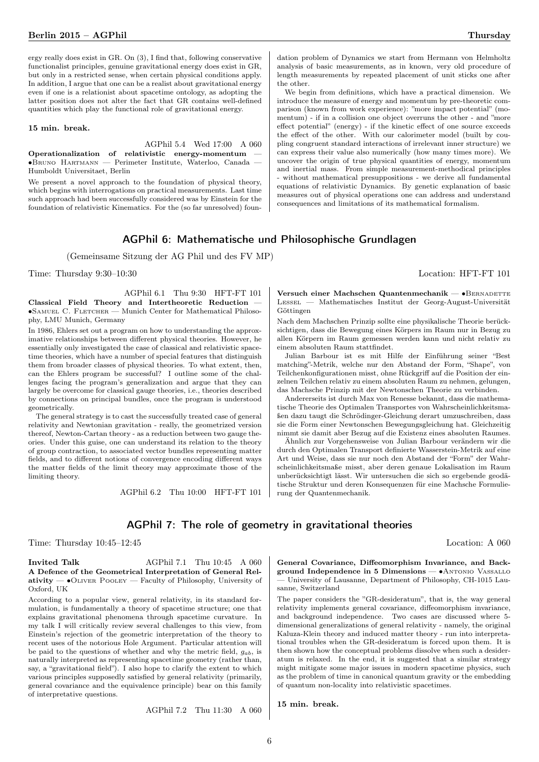ergy really does exist in GR. On (3), I find that, following conservative functionalist principles, genuine gravitational energy does exist in GR, but only in a restricted sense, when certain physical conditions apply. In addition, I argue that one can be a realist about gravitational energy even if one is a relationist about spacetime ontology, as adopting the latter position does not alter the fact that GR contains well-defined quantities which play the functional role of gravitational energy.

15 min. break.

AGPhil 5.4 Wed 17:00 A 060 Operationalization of relativistic energy-momentum — ∙Bruno Hartmann — Perimeter Institute, Waterloo, Canada — Humboldt Universitaet, Berlin

We present a novel approach to the foundation of physical theory, which begins with interrogations on practical measurements. Last time such approach had been successfully considered was by Einstein for the foundation of relativistic Kinematics. For the (so far unresolved) foun-

dation problem of Dynamics we start from Hermann von Helmholtz analysis of basic measurements, as in known, very old procedure of length measurements by repeated placement of unit sticks one after the other.

We begin from definitions, which have a practical dimension. We introduce the measure of energy and momentum by pre-theoretic comparison (known from work experience): "more impact potential" (momentum) - if in a collision one object overruns the other - and "more effect potential" (energy) - if the kinetic effect of one source exceeds the effect of the other. With our calorimeter model (built by coupling congruent standard interactions of irrelevant inner structure) we can express their value also numerically (how many times more). We uncover the origin of true physical quantities of energy, momentum and inertial mass. From simple measurement-methodical principles - without mathematical presuppositions - we derive all fundamental equations of relativistic Dynamics. By genetic explanation of basic measures out of physical operations one can address and understand consequences and limitations of its mathematical formalism.

## AGPhil 6: Mathematische und Philosophische Grundlagen

(Gemeinsame Sitzung der AG Phil und des FV MP)

Time: Thursday 9:30–10:30 Location: HFT-FT 101

AGPhil 6.1 Thu 9:30 HFT-FT 101 Classical Field Theory and Intertheoretic Reduction — ∙Samuel C. Fletcher — Munich Center for Mathematical Philosophy, LMU Munich, Germany

In 1986, Ehlers set out a program on how to understanding the approximative relationships between different physical theories. However, he essentially only investigated the case of classical and relativistic spacetime theories, which have a number of special features that distinguish them from broader classes of physical theories. To what extent, then, can the Ehlers program be successful? I outline some of the challenges facing the program's generalization and argue that they can largely be overcome for classical gauge theories, i.e., theories described by connections on principal bundles, once the program is understood geometrically.

The general strategy is to cast the successfully treated case of general relativity and Newtonian gravitation - really, the geometrized version thereof, Newton-Cartan theory - as a reduction between two gauge theories. Under this guise, one can understand its relation to the theory of group contraction, to associated vector bundles representing matter fields, and to different notions of convergence encoding different ways the matter fields of the limit theory may approximate those of the limiting theory.

AGPhil 6.2 Thu 10:00 HFT-FT 101

Versuch einer Machschen Quantenmechanik — •BERNADETTE Lessel — Mathematisches Institut der Georg-August-Universität Göttingen

Nach dem Machschen Prinzip sollte eine physikalische Theorie berücksichtigen, dass die Bewegung eines Körpers im Raum nur in Bezug zu allen Körpern im Raum gemessen werden kann und nicht relativ zu einem absoluten Raum stattfindet.

Julian Barbour ist es mit Hilfe der Einführung seiner "Best matching"-Metrik, welche nur den Abstand der Form, "Shape", von Teilchenkonfigurationen misst, ohne Rückgriff auf die Position der einzelnen Teilchen relativ zu einem absoluten Raum zu nehmen, gelungen, das Machsche Prinzip mit der Newtonschen Theorie zu verbinden.

Andererseits ist durch Max von Renesse bekannt, dass die mathematische Theorie des Optimalen Transportes von Wahrscheinlichkeitsmaßen dazu taugt die Schrödinger-Gleichung derart umzuschreiben, dass sie die Form einer Newtonschen Bewegungsgleichung hat. Gleichzeitig nimmt sie damit aber Bezug auf die Existenz eines absoluten Raumes.

Ähnlich zur Vorgehensweise von Julian Barbour verändern wir die durch den Optimalen Transport definierte Wasserstein-Metrik auf eine Art und Weise, dass sie nur noch den Abstand der "Form" der Wahrscheinlichkeitsmaße misst, aber deren genaue Lokalisation im Raum unberücksichtigt lässt. Wir untersuchen die sich so ergebende geodätische Struktur und deren Konsequenzen für eine Machsche Formulierung der Quantenmechanik.

## AGPhil 7: The role of geometry in gravitational theories

Time: Thursday 10:45–12:45 Location: A 060

### Invited Talk AGPhil 7.1 Thu 10:45 A 060 A Defence of the Geometrical Interpretation of General Rel- $\text{ativity} \longrightarrow \text{OLIVER PooLEY} \longrightarrow \text{Faculty of Philosophy},$  University of Oxford, UK

According to a popular view, general relativity, in its standard formulation, is fundamentally a theory of spacetime structure; one that explains gravitational phenomena through spacetime curvature. In my talk I will critically review several challenges to this view, from Einstein's rejection of the geometric interpretation of the theory to recent uses of the notorious Hole Argument. Particular attention will be paid to the questions of whether and why the metric field,  $g_{ab}$ , is naturally interpreted as representing spacetime geometry (rather than, say, a "gravitational field"). I also hope to clarify the extent to which various principles supposedly satisfied by general relativity (primarily, general covariance and the equivalence principle) bear on this family of interpretative questions.

AGPhil 7.2 Thu 11:30 A 060

General Covariance, Diffeomorphism Invariance, and Background Independence in 5 Dimensions — ∙Antonio Vassallo — University of Lausanne, Department of Philosophy, CH-1015 Lausanne, Switzerland

The paper considers the "GR-desideratum", that is, the way general relativity implements general covariance, diffeomorphism invariance, and background independence. Two cases are discussed where 5 dimensional generalizations of general relativity - namely, the original Kaluza-Klein theory and induced matter theory - run into interpretational troubles when the GR-desideratum is forced upon them. It is then shown how the conceptual problems dissolve when such a desideratum is relaxed. In the end, it is suggested that a similar strategy might mitigate some major issues in modern spacetime physics, such as the problem of time in canonical quantum gravity or the embedding of quantum non-locality into relativistic spacetimes.

15 min. break.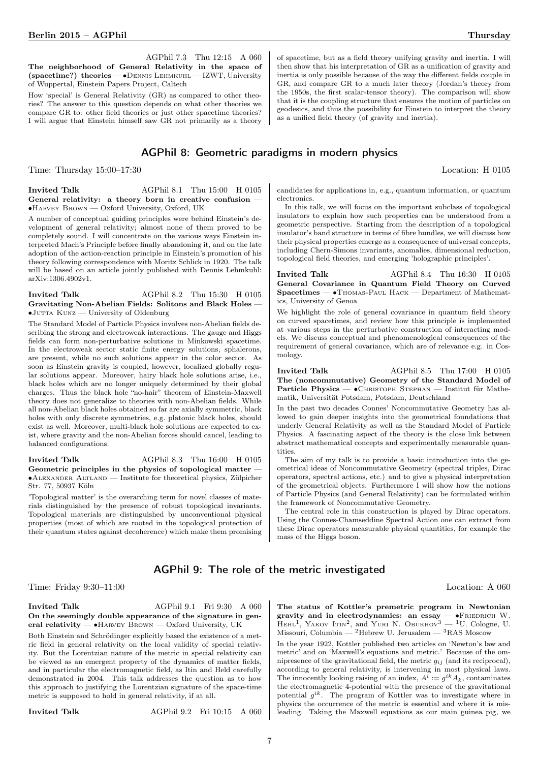AGPhil 7.3 Thu 12:15 A 060 The neighborhood of General Relativity in the space of (spacetime?) theories — ∙Dennis Lehmkuhl — IZWT, University of Wuppertal, Einstein Papers Project, Caltech

How 'special' is General Relativity (GR) as compared to other theories? The answer to this question depends on what other theories we compare GR to: other field theories or just other spacetime theories? I will argue that Einstein himself saw GR not primarily as a theory

## AGPhil 8: Geometric paradigms in modern physics

Time: Thursday 15:00–17:30 Location: H 0105

Invited Talk AGPhil 8.1 Thu 15:00 H 0105 General relativity: a theory born in creative confusion — ∙Harvey Brown — Oxford University, Oxford, UK

A number of conceptual guiding principles were behind Einstein's development of general relativity; almost none of them proved to be completely sound. I will concentrate on the various ways Einstein interpreted Mach's Principle before finally abandoning it, and on the late adoption of the action-reaction principle in Einstein's promotion of his theory following correspondence with Moritz Schlick in 1920. The talk will be based on an article jointly published with Dennis Lehmkuhl: arXiv:1306.4902v1.

#### Invited Talk AGPhil 8.2 Thu 15:30 H 0105 Gravitating Non-Abelian Fields: Solitons and Black Holes — ∙Jutta Kunz — University of Oldenburg

The Standard Model of Particle Physics involves non-Abelian fields describing the strong and electroweak interactions. The gauge and Higgs fields can form non-perturbative solutions in Minkowski spacetime. In the electroweak sector static finite energy solutions, sphalerons, are present, while no such solutions appear in the color sector. As soon as Einstein gravity is coupled, however, localized globally regular solutions appear. Moreover, hairy black hole solutions arise, i.e., black holes which are no longer uniquely determined by their global charges. Thus the black hole "no-hair" theorem of Einstein-Maxwell theory does not generalize to theories with non-Abelian fields. While all non-Abelian black holes obtained so far are axially symmetric, black holes with only discrete symmetries, e.g. platonic black holes, should exist as well. Moreover, multi-black hole solutions are expected to exist, where gravity and the non-Abelian forces should cancel, leading to balanced configurations.

#### Invited Talk AGPhil 8.3 Thu 16:00 H 0105 Geometric principles in the physics of topological matter — ∙Alexander Altland — Institute for theoretical physics, Zülpicher Str. 77, 50937 Köln

'Topological matter' is the overarching term for novel classes of materials distinguished by the presence of robust topological invariants. Topological materials are distinguished by unconventional physical properties (most of which are rooted in the topological protection of their quantum states against decoherence) which make them promising of spacetime, but as a field theory unifying gravity and inertia. I will then show that his interpretation of GR as a unification of gravity and inertia is only possible because of the way the different fields couple in GR, and compare GR to a much later theory (Jordan's theory from the 1950s, the first scalar-tensor theory). The comparison will show that it is the coupling structure that ensures the motion of particles on geodesics, and thus the possibility for Einstein to interpret the theory as a unified field theory (of gravity and inertia).

candidates for applications in, e.g., quantum information, or quantum electronics.

In this talk, we will focus on the important subclass of topological insulators to explain how such properties can be understood from a geometric perspective. Starting from the description of a topological insulator's band structure in terms of fibre bundles, we will discuss how their physical properties emerge as a consequence of universal concepts, including Chern-Simons invariants, anomalies, dimensional reduction, topological field theories, and emerging 'holographic principles'.

Invited Talk  $AGPhi1 8.4 Thu 16:30 H 0105$ General Covariance in Quantum Field Theory on Curved Spacetimes — ∙Thomas-Paul Hack — Department of Mathematics, University of Genoa

We highlight the role of general covariance in quantum field theory on curved spacetimes, and review how this principle is implemented at various steps in the perturbative construction of interacting models. We discuss conceptual and phenomenological consequences of the requirement of general covariance, which are of relevance e.g. in Cosmology.

<span id="page-6-0"></span>Invited Talk AGPhil 8.5 Thu 17:00 H 0105 The (noncommutative) Geometry of the Standard Model of Particle Physics — ∙Christoph Stephan — Institut für Mathematik, Universität Potsdam, Potsdam, Deutschland

In the past two decades Connes' Noncommutative Geometry has allowed to gain deeper insights into the geometrical foundations that underly General Relativity as well as the Standard Model of Particle Physics. A fascinating aspect of the theory is the close link between abstract mathematical concepts and experimentally measurable quantities.

The aim of my talk is to provide a basic introduction into the geometrical ideas of Noncommutative Geometry (spectral triples, Dirac operators, spectral actions, etc.) and to give a physical interpretation of the geometrical objects. Furthermore I will show how the notions of Particle Physics (and General Relativity) can be formulated within the framework of Noncommutative Geometry.

The central role in this construction is played by Dirac operators. Using the Connes-Chamseddine Spectral Action one can extract from these Dirac operators measurable physical quantities, for example the mass of the Higgs boson.

## AGPhil 9: The role of the metric investigated

Time: Friday 9:30–11:00 Location: A 060

#### Invited Talk AGPhil 9.1 Fri 9:30 A 060 On the seemingly double appearance of the signature in general relativity — •HARVEY BROWN — Oxford University, UK

Both Einstein and Schrödinger explicitly based the existence of a metric field in general relativity on the local validity of special relativity. But the Lorentzian nature of the metric in special relativity can be viewed as an emergent property of the dynamics of matter fields, and in particular the electromagnetic field, as Itin and Held carefully demonstrated in 2004. This talk addresses the question as to how this approach to justifying the Lorentzian signature of the space-time metric is supposed to hold in general relativity, if at all.

Invited Talk AGPhil 9.2 Fri 10:15 A 060

The status of Kottler's premetric program in Newtonian

gravity and in electrodynamics: an essay — •FRIEDRICH W. HEHL<sup>1</sup>, YAKOV ITIN<sup>2</sup>, and YURI N. OBUKHOV<sup>3</sup> — <sup>1</sup>U. Cologne, U. Missouri, Columbia — <sup>2</sup>Hebrew U. Jerusalem —  ${}^{3}RAS$  Moscow

In the year 1922, Kottler published two articles on 'Newton's law and metric' and on 'Maxwell's equations and metric.' Because of the omnipresence of the gravitational field, the metric  $g_{ij}$  (and its reciprocal), according to general relativity, is intervening in most physical laws. The innocently looking raising of an index,  $A^i := g^{ik} A_k$ , contaminates the electromagnetic 4-potential with the presence of the gravitational potential  $g^{ik}$ . The program of Kottler was to investigate where in physics the occurrence of the metric is essential and where it is misleading. Taking the Maxwell equations as our main guinea pig, we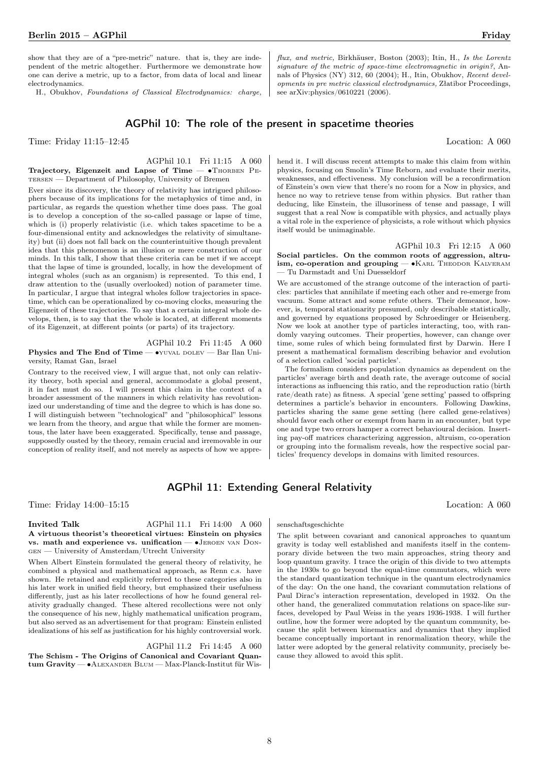H., Obukhov, Foundations of Classical Electrodynamics: charge,

flux, and metric, Birkhäuser, Boston (2003); Itin, H., Is the Lorentz signature of the metric of space-time electromagnetic in origin?, Annals of Physics (NY) 312, 60 (2004); H., Itin, Obukhov, Recent developments in pre metric classical electrodynamics, Złatibor Proceedings, see arXiv:physics/0610221 (2006).

## AGPhil 10: The role of the present in spacetime theories

Time: Friday 11:15–12:45 Location: A 060

AGPhil 10.1 Fri 11:15 A 060

Trajectory, Eigenzeit and Lapse of Time — •THORBEN PEtersen — Department of Philosophy, University of Bremen

Ever since its discovery, the theory of relativity has intrigued philosophers because of its implications for the metaphysics of time and, in particular, as regards the question whether time does pass. The goal is to develop a conception of the so-called passage or lapse of time, which is (i) properly relativistic (i.e. which takes spacetime to be a four-dimensional entity and acknowledges the relativity of simultaneity) but (ii) does not fall back on the counterintuitive though prevalent idea that this phenomenon is an illusion or mere construction of our minds. In this talk, I show that these criteria can be met if we accept that the lapse of time is grounded, locally, in how the development of integral wholes (such as an organism) is represented. To this end, I draw attention to the (usually overlooked) notion of parameter time. In particular, I argue that integral wholes follow trajectories in spacetime, which can be operationalized by co-moving clocks, measuring the Eigenzeit of these trajectories. To say that a certain integral whole develops, then, is to say that the whole is located, at different moments of its Eigenzeit, at different points (or parts) of its trajectory.

## AGPhil 10.2 Fri 11:45 A 060

Physics and The End of Time — •YUVAL DOLEV — Bar Ilan University, Ramat Gan, Israel

Contrary to the received view, I will argue that, not only can relativity theory, both special and general, accommodate a global present, it in fact must do so. I will present this claim in the context of a broader assessment of the manners in which relativity has revolutionized our understanding of time and the degree to which is has done so. I will distinguish between "technological" and "philosophical" lessons we learn from the theory, and argue that while the former are momentous, the later have been exaggerated. Specifically, tense and passage, supposedly ousted by the theory, remain crucial and irremovable in our conception of reality itself, and not merely as aspects of how we apprehend it. I will discuss recent attempts to make this claim from within physics, focusing on Smolin's Time Reborn, and evaluate their merits, weaknesses, and effectiveness. My conclusion will be a reconfirmation of Einstein's own view that there's no room for a Now in physics, and hence no way to retrieve tense from within physics. But rather than deducing, like Einstein, the illusoriness of tense and passage, I will suggest that a real Now is compatible with physics, and actually plays a vital role in the experience of physicists, a role without which physics itself would be unimaginable.

AGPhil 10.3 Fri 12:15 A 060 Social particles. On the common roots of aggression, altruism, co-operation and grouping — • KARL THEODOR KALVERAM — Tu Darmstadt and Uni Duesseldorf

We are accustomed of the strange outcome of the interaction of particles: particles that annihilate if meeting each other and re-emerge from vacuum. Some attract and some refute others. Their demeanor, however, is, temporal stationarity presumed, only describable statistically, and governed by equations proposed by Schroedinger or Heisenberg. Now we look at another type of particles interacting, too, with randomly varying outcomes. Their properties, however, can change over time, some rules of which being formulated first by Darwin. Here I present a mathematical formalism describing behavior and evolution of a selection called 'social particles'.

The formalism considers population dynamics as dependent on the particles' average birth and death rate, the average outcome of social interactions as influencing this ratio, and the reproduction ratio (birth rate/death rate) as fitness. A special 'gene setting' passed to offspring determines a particle's behavior in encounters. Following Dawkins, particles sharing the same gene setting (here called gene-relatives) should favor each other or exempt from harm in an encounter, but type one and type two errors hamper a correct behavioural decision. Inserting pay-off matrices characterizing aggression, altruism, co-operation or grouping into the formalism reveals, how the respective social particles' frequency develops in domains with limited resources.

## AGPhil 11: Extending General Relativity

Time: Friday 14:00–15:15 Location: A 060

#### Invited Talk AGPhil 11.1 Fri 14:00 A 060 A virtuous theorist's theoretical virtues: Einstein on physics vs. math and experience vs. unification — ∙Jeroen van Dongen — University of Amsterdam/Utrecht University

When Albert Einstein formulated the general theory of relativity, he combined a physical and mathematical approach, as Renn c.s. have shown. He retained and explicitly referred to these categories also in his later work in unified field theory, but emphasized their usefulness differently, just as his later recollections of how he found general relativity gradually changed. These altered recollections were not only the consequence of his new, highly mathematical unification program, but also served as an advertisement for that program: Einstein enlisted idealizations of his self as justification for his highly controversial work.

AGPhil 11.2 Fri 14:45 A 060 The Schism - The Origins of Canonical and Covariant Quantum Gravity — ∙Alexander Blum — Max-Planck-Institut für Wis-

#### senschaftsgeschichte

The split between covariant and canonical approaches to quantum gravity is today well established and manifests itself in the contemporary divide between the two main approaches, string theory and loop quantum gravity. I trace the origin of this divide to two attempts in the 1930s to go beyond the equal-time commutators, which were the standard quantization technique in the quantum electrodynamics of the day: On the one hand, the covariant commutation relations of Paul Dirac's interaction representation, developed in 1932. On the other hand, the generalized commutation relations on space-like surfaces, developed by Paul Weiss in the years 1936-1938. I will further outline, how the former were adopted by the quantum community, because the split between kinematics and dynamics that they implied became conceptually important in renormalization theory, while the latter were adopted by the general relativity community, precisely because they allowed to avoid this split.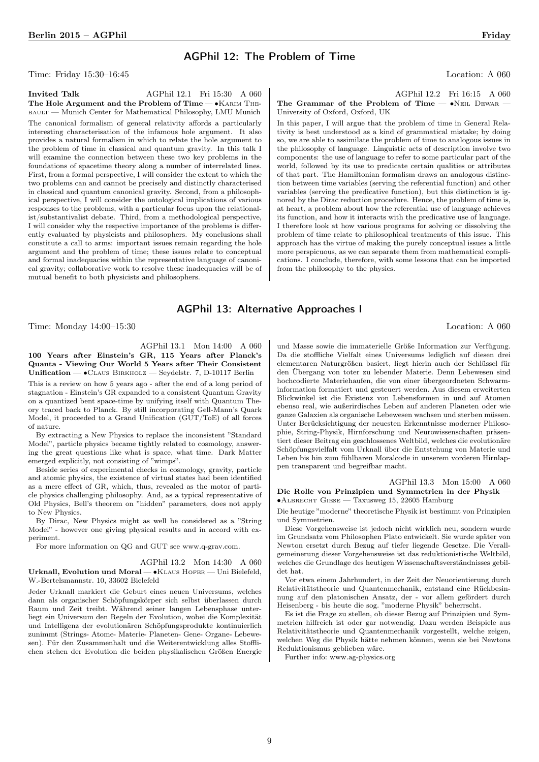## AGPhil 12: The Problem of Time

Time: Friday 15:30–16:45 Location: A 060

**Invited Talk** AGPhil 12.1 Fri 15:30 A 060 The Hole Argument and the Problem of Time — • KARIM THEbault — Munich Center for Mathematical Philosophy, LMU Munich The canonical formalism of general relativity affords a particularly interesting characterisation of the infamous hole argument. It also provides a natural formalism in which to relate the hole argument to the problem of time in classical and quantum gravity. In this talk I will examine the connection between these two key problems in the foundations of spacetime theory along a number of interrelated lines. First, from a formal perspective, I will consider the extent to which the two problems can and cannot be precisely and distinctly characterised in classical and quantum canonical gravity. Second, from a philosophical perspective, I will consider the ontological implications of various responses to the problems, with a particular focus upon the relationalist/substantivalist debate. Third, from a methodological perspective, I will consider why the respective importance of the problems is differently evaluated by physicists and philosophers. My conclusions shall constitute a call to arms: important issues remain regarding the hole argument and the problem of time; these issues relate to conceptual and formal inadequacies within the representative language of canonical gravity; collaborative work to resolve these inadequacies will be of mutual benefit to both physicists and philosophers.

### AGPhil 13: Alternative Approaches I

Time: Monday 14:00–15:30 Location: A 060

AGPhil 13.1 Mon 14:00 A 060 100 Years after Einstein's GR, 115 Years after Planck's Quanta - Viewing Our World 5 Years after Their Consistent Unification — ∙Claus Birkholz — Seydelstr. 7, D-10117 Berlin

This is a review on how 5 years ago - after the end of a long period of stagnation - Einstein's GR expanded to a consistent Quantum Gravity on a quantized bent space-time by unifying itself with Quantum Theory traced back to Planck. By still incorporating Gell-Mann's Quark Model, it proceeded to a Grand Unification (GUT/ToE) of all forces of nature.

By extracting a New Physics to replace the inconsistent "Standard Model", particle physics became tightly related to cosmology, answering the great questions like what is space, what time. Dark Matter emerged explicitly, not consisting of "wimps".

Beside series of experimental checks in cosmology, gravity, particle and atomic physics, the existence of virtual states had been identified as a mere effect of GR, which, thus, revealed as the motor of particle physics challenging philosophy. And, as a typical representative of Old Physics, Bell's theorem on "hidden" parameters, does not apply to New Physics.

By Dirac, New Physics might as well be considered as a "String Model" - however one giving physical results and in accord with experiment.

For more information on QG and GUT see www.q-grav.com.

# AGPhil 13.2 Mon 14:30 A 060

Urknall, Evolution und Moral — • KLAUS HOFER — Uni Bielefeld, W.-Bertelsmannstr. 10, 33602 Bielefeld

Jeder Urknall markiert die Geburt eines neuen Universums, welches dann als organischer Schöpfungskörper sich selbst überlassen durch Raum und Zeit treibt. Während seiner langen Lebensphase unterliegt ein Universum den Regeln der Evolution, wobei die Komplexität und Intelligenz der evolutionären Schöpfungsprodukte kontinuierlich zunimmt (Strings- Atome- Materie- Planeten- Gene- Organe- Lebewesen). Für den Zusammenhalt und die Weiterentwicklung alles Stofflichen stehen der Evolution die beiden physikalischen Größen Energie

AGPhil 12.2 Fri 16:15 A 060

## The Grammar of the Problem of Time — •NEIL DEWAR -University of Oxford, Oxford, UK

In this paper, I will argue that the problem of time in General Relativity is best understood as a kind of grammatical mistake; by doing so, we are able to assimilate the problem of time to analogous issues in the philosophy of language. Linguistic acts of description involve two components: the use of language to refer to some particular part of the world, followed by its use to predicate certain qualities or attributes of that part. The Hamiltonian formalism draws an analogous distinction between time variables (serving the referential function) and other variables (serving the predicative function), but this distinction is ignored by the Dirac reduction procedure. Hence, the problem of time is, at heart, a problem about how the referential use of language achieves its function, and how it interacts with the predicative use of language. I therefore look at how various programs for solving or dissolving the problem of time relate to philosophical treatments of this issue. This approach has the virtue of making the purely conceptual issues a little more perspicuous, as we can separate them from mathematical complications. I conclude, therefore, with some lessons that can be imported from the philosophy to the physics.

und Masse sowie die immaterielle Größe Information zur Verfügung. Da die stoffliche Vielfalt eines Universums lediglich auf diesen drei elementaren Naturgrößen basiert, liegt hierin auch der Schlüssel für den Übergang von toter zu lebender Materie. Denn Lebewesen sind hochcodierte Materiehaufen, die von einer übergeordneten Schwarminformation formatiert und gesteuert werden. Aus diesem erweiterten Blickwinkel ist die Existenz von Lebensformen in und auf Atomen ebenso real, wie außerirdisches Leben auf anderen Planeten oder wie ganze Galaxien als organische Lebewesen wachsen und sterben müssen. Unter Berücksichtigung der neuesten Erkenntnisse moderner Philosophie, String-Physik, Hirnforschung und Neurowissenschaften präsentiert dieser Beitrag ein geschlossenes Weltbild, welches die evolutionäre Schöpfungsvielfalt vom Urknall über die Entstehung von Materie und Leben bis hin zum fühlbaren Moralcode in unserem vorderen Hirnlappen transparent und begreifbar macht.

AGPhil 13.3 Mon 15:00 A 060 Die Rolle von Prinzipien und Symmetrien in der Physik — ∙Albrecht Giese — Taxusweg 15, 22605 Hamburg

Die heutige "moderne" theoretische Physik ist bestimmt von Prinzipien und Symmetrien.

Diese Vorgehensweise ist jedoch nicht wirklich neu, sondern wurde im Grundsatz vom Philosophen Plato entwickelt. Sie wurde später von Newton ersetzt durch Bezug auf tiefer liegende Gesetze. Die Verallgemeinerung dieser Vorgehensweise ist das reduktionistische Weltbild, welches die Grundlage des heutigen Wissenschaftsverständnisses gebildet hat.

Vor etwa einem Jahrhundert, in der Zeit der Neuorientierung durch Relativitätstheorie und Quantenmechanik, entstand eine Rückbesinnung auf den platonischen Ansatz, der - vor allem gefördert durch Heisenberg - bis heute die sog. "moderne Physik" beherrscht.

Es ist die Frage zu stellen, ob dieser Bezug auf Prinzipien und Symmetrien hilfreich ist oder gar notwendig. Dazu werden Beispiele aus Relativitätstheorie und Quantenmechanik vorgestellt, welche zeigen, welchen Weg die Physik hätte nehmen können, wenn sie bei Newtons Reduktionismus geblieben wäre.

Further info: www.ag-physics.org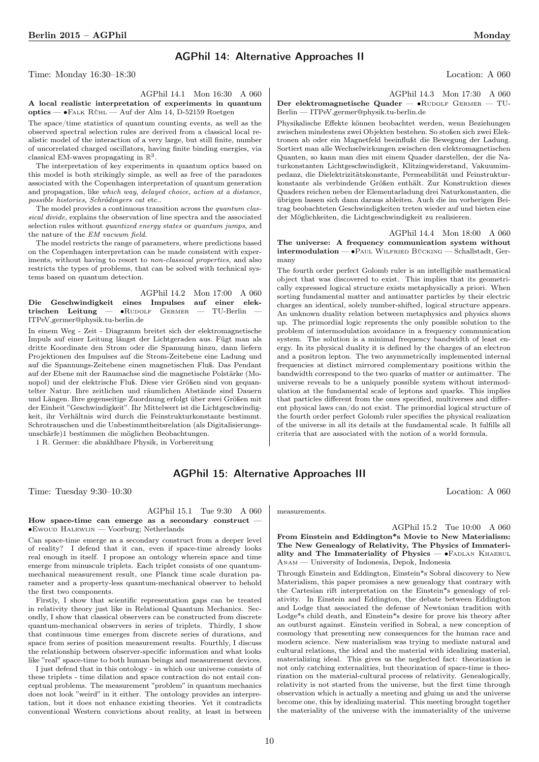## AGPhil 14: Alternative Approaches II

Time: Monday 16:30–18:30 Location: A 060

AGPhil 14.1 Mon 16:30 A 060 A local realistic interpretation of experiments in quantum optics — ∙Falk Rühl — Auf der Alm 14, D-52159 Roetgen

The space/time statistics of quantum counting events, as well as the observed spectral selection rules are derived from a classical local realistic model of the interaction of a very large, but still finite, number of uncorrelated charged oscillators, having finite binding energies, via classical EM-waves propagating in  $\mathbb{R}^3$ .

The interpretation of key experiments in quantum optics based on this model is both strikingly simple, as well as free of the paradoxes associated with the Copenhagen interpretation of quantum generation and propagation, like which way, delayed choice, action at a distance, possible histories, Schrödingers cat etc..

The model provides a continuous transition across the quantum classical divide, explains the observation of line spectra and the associated selection rules without quantized energy states or quantum jumps, and the nature of the EM vacuum field.

The model restricts the range of parameters, where predictions based on the Copenhagen interpretation can be made consistent with experiments, without having to resort to non-classical properties, and also restricts the types of problems, that can be solved with technical systems based on quantum detection.

|                                                          | AGPhil 14.2 Mon 17:00 A 060 |  |  |
|----------------------------------------------------------|-----------------------------|--|--|
| Die Geschwindigkeit eines Impulses auf einer elek-       |                             |  |  |
| trischen Leitung — $\bullet$ RUDOLF GERMER — TU-Berlin — |                             |  |  |
| ITPeV, germer@physik.tu-berlin.de                        |                             |  |  |

In einem Weg - Zeit - Diagramm breitet sich der elektromagnetische Impuls auf einer Leitung längst der Lichtgeraden aus. Fügt man als dritte Koordinate den Strom oder die Spannung hinzu, dann liefern Projektionen des Impulses auf die Strom-Zeitebene eine Ladung und auf die Spannungs-Zeitebene einen magnetischen Fluß. Das Pendant auf der Ebene mit der Raumachse sind die magnetische Polstärke (Monopol) und der elektrische Fluß. Diese vier Größen sind von gequantelter Natur. Ihre zeitlichen und räumlichen Abstände sind Dauern und Längen. Ihre gegenseitige Zuordnung erfolgt über zwei Größen mit der Einheit "Geschwindigkeit". Ihr Mittelwert ist die Lichtgeschwindigkeit, ihr Verhältnis wird durch die Feinstrukturkonstante bestimmt. Schrotrauschen und die Unbestimmtheitsrelation (als Digitalisierungsunschärfe)1 bestimmen die möglichen Beobachtungen.

1 R. Germer: die abzählbare Physik, in Vorbereitung

AGPhil 14.3 Mon 17:30 A 060 Der elektromagnetische Quader — •RUDOLF GERMER — TU-Berlin — ITPeV,germer@physik.tu-berlin.de

Physikalische Effekte können beobachtet werden, wenn Beziehungen zwischen mindestens zwei Objekten bestehen. So stoßen sich zwei Elektronen ab oder ein Magnetfeld beeinflußt die Bewegung der Ladung. Sortiert man alle Wechselwirkungen zwischen den elektromagnetischen Quanten, so kann man dies mit einem Quader darstellen, der die Naturkonstanten Lichtgeschwindigkeit, Klitzingwiderstand, Vakuumimpedanz, die Dielektrizitätskonstante, Permeabilität und Feinstrukturkonstante als verbindende Größen enthält. Zur Konstruktion dieses Quaders reichen neben der Elementarladung drei Naturkonstanten, die übrigen lassen sich dann daraus ableiten. Auch die im vorherigen Beitrag beobachteten Geschwindigkeiten treten wieder auf und bieten eine der Möglichkeiten, die Lichtgeschwindigkeit zu realisieren.

AGPhil 14.4 Mon 18:00 A 060 The universe: A frequency communication system without intermodulation — ∙Paul Wilfried Bücking — Schallstadt, Germany

The fourth order perfect Golomb ruler is an intelligible mathematical object that was discovered to exist. This implies that its geometrically expressed logical structure exists metaphysically a priori. When sorting fundamental matter and antimatter particles by their electric charges an identical, solely number-shifted, logical structure appears. An unknown duality relation between metaphysics and physics shows up. The primordial logic represents the only possible solution to the problem of intermodulation avoidance in a frequency communication system. The solution is a minimal frequency bandwidth of least energy. In its physical duality it is defined by the charges of an electron and a positron lepton. The two asymmetrically implemented internal frequencies at distinct mirrored complementary positions within the bandwidth correspond to the two quarks of matter or antimatter. The universe reveals to be a uniquely possible system without intermodulation at the fundamental scale of leptons and quarks. This implies that particles different from the ones specified, multiverses and different physical laws can/do not exist. The primordial logical structure of the fourth order perfect Golomb ruler specifies the physical realization of the universe in all its details at the fundamental scale. It fulfills all criteria that are associated with the notion of a world formula.

## AGPhil 15: Alternative Approaches III

Time: Tuesday 9:30–10:30 Location: A 060

AGPhil 15.1 Tue 9:30 A 060

How space-time can emerge as a secondary construct -∙Ewoud Halewijn — Voorburg; Netherlands

Can space-time emerge as a secondary construct from a deeper level of reality? I defend that it can, even if space-time already looks real enough in itself. I propose an ontology wherein space and time emerge from minuscule triplets. Each triplet consists of one quantummechanical measurement result, one Planck time scale duration parameter and a property-less quantum-mechanical observer to behold the first two components.

Firstly, I show that scientific representation gaps can be treated in relativity theory just like in Relational Quantum Mechanics. Secondly, I show that classical observers can be constructed from discrete quantum-mechanical observers in series of triplets. Thirdly, I show that continuous time emerges from discrete series of durations, and space from series of position measurement results. Fourthly, I discuss the relationship between observer-specific information and what looks like "real" space-time to both human beings and measurement devices.

I just defend that in this ontology - in which our universe consists of these triplets - time dilation and space contraction do not entail conceptual problems. The measurement "problem" in quantum mechanics does not look "weird" in it either. The ontology provides an interpretation, but it does not enhance existing theories. Yet it contradicts conventional Western convictions about reality, at least in between

measurements.

AGPhil 15.2 Tue 10:00 A 060 From Einstein and Eddington\*s Movie to New Materialism: The New Genealogy of Relativity, The Physics of Immateri-

ality and The Immateriality of Physics —  $\bullet$ FADLAN KHAERUL Anam — University of Indonesia, Depok, Indonesia

Through Einstein and Eddington, Einstein\*s Sobral discovery to New Materialism, this paper promises a new genealogy that contrary with the Cartesian rift interpretation on the Einstein\*s genealogy of relativity. In Einstein and Eddington, the debate between Eddington and Lodge that associated the defense of Newtonian tradition with Lodge\*s child death, and Einstein\*s desire for prove his theory after an outburst against. Einstein verified in Sobral, a new conception of cosmology that presenting new consequences for the human race and modern science. New materialism was trying to mediate natural and cultural relations, the ideal and the material with idealizing material, materializing ideal. This gives us the neglected fact: theorization is not only catching externalities, but theorization of space-time is theorization on the material-cultural process of relativity. Genealogically, relativity is not started from the universe, but the first time through observation which is actually a meeting and gluing us and the universe become one, this by idealizing material. This meeting brought together the materiality of the universe with the immateriality of the universe

10